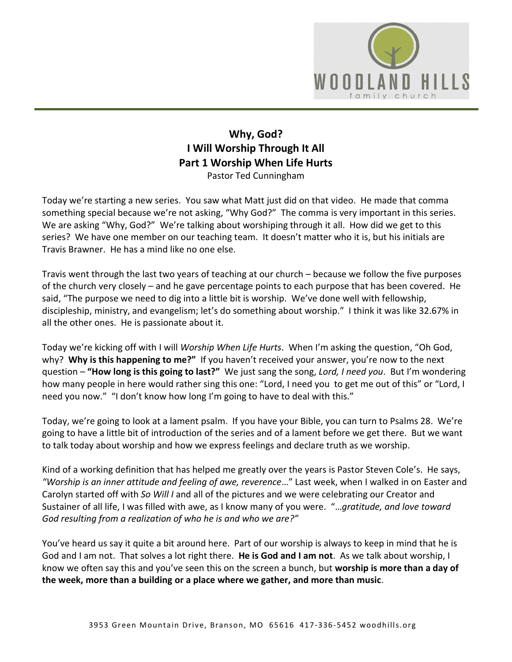

## **Why, God? I Will Worship Through It All Part 1 Worship When Life Hurts**  Pastor Ted Cunningham

Today we're starting a new series. You saw what Matt just did on that video. He made that comma something special because we're not asking, "Why God?" The comma is very important in this series. We are asking "Why, God?" We're talking about worshiping through it all. How did we get to this series? We have one member on our teaching team. It doesn't matter who it is, but his initials are Travis Brawner. He has a mind like no one else.

Travis went through the last two years of teaching at our church – because we follow the five purposes of the church very closely – and he gave percentage points to each purpose that has been covered. He said, "The purpose we need to dig into a little bit is worship. We've done well with fellowship, discipleship, ministry, and evangelism; let's do something about worship." I think it was like 32.67% in all the other ones. He is passionate about it.

Today we're kicking off with I will *Worship When Life Hurts*. When I'm asking the question, "Oh God, why? **Why is this happening to me?"** If you haven't received your answer, you're now to the next question – **"How long is this going to last?"** We just sang the song, *Lord, I need you*. But I'm wondering how many people in here would rather sing this one: "Lord, I need you to get me out of this" or "Lord, I need you now." "I don't know how long I'm going to have to deal with this."

Today, we're going to look at a lament psalm. If you have your Bible, you can turn to Psalms 28. We're going to have a little bit of introduction of the series and of a lament before we get there. But we want to talk today about worship and how we express feelings and declare truth as we worship.

Kind of a working definition that has helped me greatly over the years is Pastor Steven Cole's. He says, *"Worship is an inner attitude and feeling of awe, reverence*…" Last week, when I walked in on Easter and Carolyn started off with *So Will I* and all of the pictures and we were celebrating our Creator and Sustainer of all life, I was filled with awe, as I know many of you were. "…*gratitude, and love toward God resulting from a realization of who he is and who we are?"*

You've heard us say it quite a bit around here. Part of our worship is always to keep in mind that he is God and I am not. That solves a lot right there. **He is God and I am not**. As we talk about worship, I know we often say this and you've seen this on the screen a bunch, but **worship is more than a day of the week, more than a building or a place where we gather, and more than music**.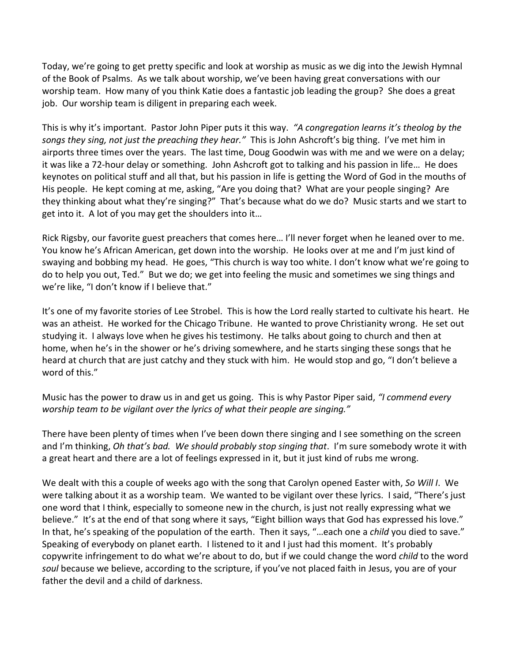Today, we're going to get pretty specific and look at worship as music as we dig into the Jewish Hymnal of the Book of Psalms. As we talk about worship, we've been having great conversations with our worship team. How many of you think Katie does a fantastic job leading the group? She does a great job. Our worship team is diligent in preparing each week.

This is why it's important. Pastor John Piper puts it this way. *"A congregation learns it's theolog by the songs they sing, not just the preaching they hear."* This is John Ashcroft's big thing. I've met him in airports three times over the years. The last time, Doug Goodwin was with me and we were on a delay; it was like a 72-hour delay or something. John Ashcroft got to talking and his passion in life… He does keynotes on political stuff and all that, but his passion in life is getting the Word of God in the mouths of His people. He kept coming at me, asking, "Are you doing that? What are your people singing? Are they thinking about what they're singing?" That's because what do we do? Music starts and we start to get into it. A lot of you may get the shoulders into it…

Rick Rigsby, our favorite guest preachers that comes here… I'll never forget when he leaned over to me. You know he's African American, get down into the worship. He looks over at me and I'm just kind of swaying and bobbing my head. He goes, "This church is way too white. I don't know what we're going to do to help you out, Ted." But we do; we get into feeling the music and sometimes we sing things and we're like, "I don't know if I believe that."

It's one of my favorite stories of Lee Strobel. This is how the Lord really started to cultivate his heart. He was an atheist. He worked for the Chicago Tribune. He wanted to prove Christianity wrong. He set out studying it. I always love when he gives his testimony. He talks about going to church and then at home, when he's in the shower or he's driving somewhere, and he starts singing these songs that he heard at church that are just catchy and they stuck with him. He would stop and go, "I don't believe a word of this."

Music has the power to draw us in and get us going. This is why Pastor Piper said, *"I commend every worship team to be vigilant over the lyrics of what their people are singing."*

There have been plenty of times when I've been down there singing and I see something on the screen and I'm thinking, *Oh that's bad. We should probably stop singing that*. I'm sure somebody wrote it with a great heart and there are a lot of feelings expressed in it, but it just kind of rubs me wrong.

We dealt with this a couple of weeks ago with the song that Carolyn opened Easter with, *So Will I*. We were talking about it as a worship team. We wanted to be vigilant over these lyrics. I said, "There's just one word that I think, especially to someone new in the church, is just not really expressing what we believe." It's at the end of that song where it says, "Eight billion ways that God has expressed his love." In that, he's speaking of the population of the earth. Then it says, "…each one a *child* you died to save." Speaking of everybody on planet earth. I listened to it and I just had this moment. It's probably copywrite infringement to do what we're about to do, but if we could change the word *child* to the word *soul* because we believe, according to the scripture, if you've not placed faith in Jesus, you are of your father the devil and a child of darkness.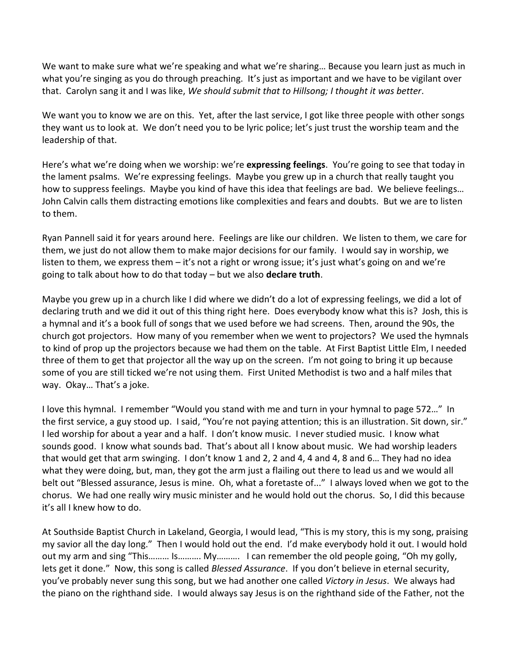We want to make sure what we're speaking and what we're sharing… Because you learn just as much in what you're singing as you do through preaching. It's just as important and we have to be vigilant over that. Carolyn sang it and I was like, *We should submit that to Hillsong; I thought it was better*.

We want you to know we are on this. Yet, after the last service, I got like three people with other songs they want us to look at. We don't need you to be lyric police; let's just trust the worship team and the leadership of that.

Here's what we're doing when we worship: we're **expressing feelings**. You're going to see that today in the lament psalms. We're expressing feelings. Maybe you grew up in a church that really taught you how to suppress feelings. Maybe you kind of have this idea that feelings are bad. We believe feelings… John Calvin calls them distracting emotions like complexities and fears and doubts. But we are to listen to them.

Ryan Pannell said it for years around here. Feelings are like our children. We listen to them, we care for them, we just do not allow them to make major decisions for our family. I would say in worship, we listen to them, we express them – it's not a right or wrong issue; it's just what's going on and we're going to talk about how to do that today – but we also **declare truth**.

Maybe you grew up in a church like I did where we didn't do a lot of expressing feelings, we did a lot of declaring truth and we did it out of this thing right here. Does everybody know what this is? Josh, this is a hymnal and it's a book full of songs that we used before we had screens. Then, around the 90s, the church got projectors. How many of you remember when we went to projectors? We used the hymnals to kind of prop up the projectors because we had them on the table. At First Baptist Little Elm, I needed three of them to get that projector all the way up on the screen. I'm not going to bring it up because some of you are still ticked we're not using them. First United Methodist is two and a half miles that way. Okay… That's a joke.

I love this hymnal. I remember "Would you stand with me and turn in your hymnal to page 572…" In the first service, a guy stood up. I said, "You're not paying attention; this is an illustration. Sit down, sir." I led worship for about a year and a half. I don't know music. I never studied music. I know what sounds good. I know what sounds bad. That's about all I know about music. We had worship leaders that would get that arm swinging. I don't know 1 and 2, 2 and 4, 4 and 4, 8 and 6… They had no idea what they were doing, but, man, they got the arm just a flailing out there to lead us and we would all belt out "Blessed assurance, Jesus is mine. Oh, what a foretaste of..." I always loved when we got to the chorus. We had one really wiry music minister and he would hold out the chorus. So, I did this because it's all I knew how to do.

At Southside Baptist Church in Lakeland, Georgia, I would lead, "This is my story, this is my song, praising my savior all the day long." Then I would hold out the end. I'd make everybody hold it out. I would hold out my arm and sing "This……… Is………. My………. I can remember the old people going, "Oh my golly, lets get it done." Now, this song is called *Blessed Assurance*. If you don't believe in eternal security, you've probably never sung this song, but we had another one called *Victory in Jesus*. We always had the piano on the righthand side. I would always say Jesus is on the righthand side of the Father, not the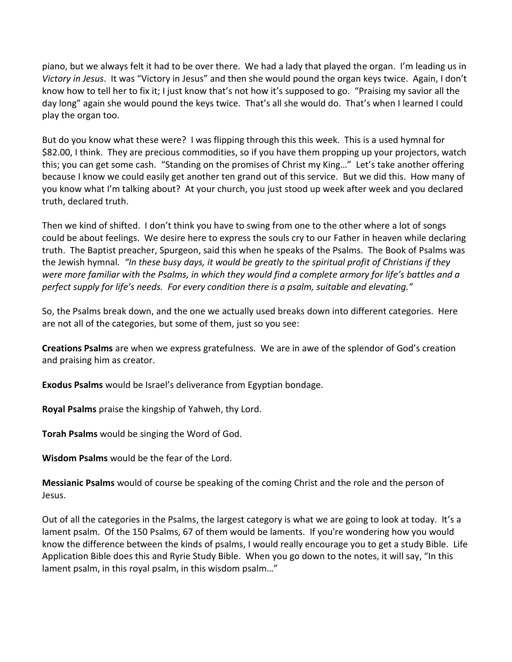piano, but we always felt it had to be over there. We had a lady that played the organ. I'm leading us in *Victory in Jesus*. It was "Victory in Jesus" and then she would pound the organ keys twice. Again, I don't know how to tell her to fix it; I just know that's not how it's supposed to go. "Praising my savior all the day long" again she would pound the keys twice. That's all she would do. That's when I learned I could play the organ too.

But do you know what these were? I was flipping through this this week. This is a used hymnal for \$82.00, I think. They are precious commodities, so if you have them propping up your projectors, watch this; you can get some cash. "Standing on the promises of Christ my King…" Let's take another offering because I know we could easily get another ten grand out of this service. But we did this. How many of you know what I'm talking about? At your church, you just stood up week after week and you declared truth, declared truth.

Then we kind of shifted. I don't think you have to swing from one to the other where a lot of songs could be about feelings. We desire here to express the souls cry to our Father in heaven while declaring truth. The Baptist preacher, Spurgeon, said this when he speaks of the Psalms. The Book of Psalms was the Jewish hymnal*. "In these busy days, it would be greatly to the spiritual profit of Christians if they were more familiar with the Psalms, in which they would find a complete armory for life's battles and a perfect supply for life's needs. For every condition there is a psalm, suitable and elevating."*

So, the Psalms break down, and the one we actually used breaks down into different categories. Here are not all of the categories, but some of them, just so you see:

**Creations Psalms** are when we express gratefulness. We are in awe of the splendor of God's creation and praising him as creator.

**Exodus Psalms** would be Israel's deliverance from Egyptian bondage.

**Royal Psalms** praise the kingship of Yahweh, thy Lord.

**Torah Psalms** would be singing the Word of God.

**Wisdom Psalms** would be the fear of the Lord.

**Messianic Psalms** would of course be speaking of the coming Christ and the role and the person of Jesus.

Out of all the categories in the Psalms, the largest category is what we are going to look at today. It's a lament psalm. Of the 150 Psalms, 67 of them would be laments. If you're wondering how you would know the difference between the kinds of psalms, I would really encourage you to get a study Bible. Life Application Bible does this and Ryrie Study Bible. When you go down to the notes, it will say, "In this lament psalm, in this royal psalm, in this wisdom psalm…"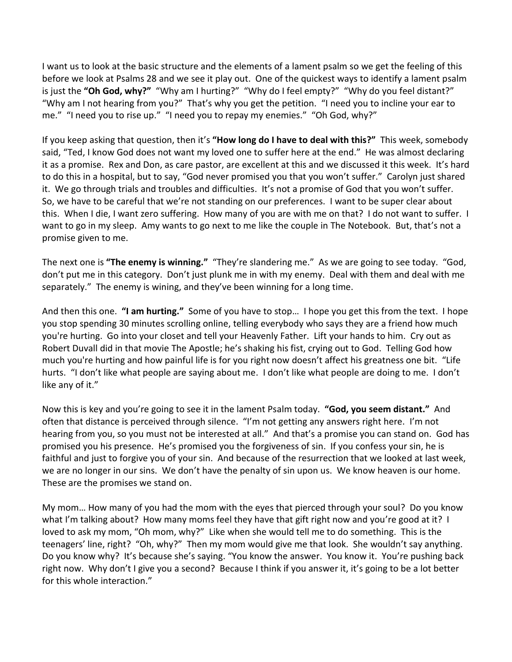I want us to look at the basic structure and the elements of a lament psalm so we get the feeling of this before we look at Psalms 28 and we see it play out. One of the quickest ways to identify a lament psalm is just the **"Oh God, why?"** "Why am I hurting?" "Why do I feel empty?" "Why do you feel distant?" "Why am I not hearing from you?" That's why you get the petition. "I need you to incline your ear to me." "I need you to rise up." "I need you to repay my enemies." "Oh God, why?"

If you keep asking that question, then it's **"How long do I have to deal with this?"** This week, somebody said, "Ted, I know God does not want my loved one to suffer here at the end." He was almost declaring it as a promise. Rex and Don, as care pastor, are excellent at this and we discussed it this week. It's hard to do this in a hospital, but to say, "God never promised you that you won't suffer." Carolyn just shared it. We go through trials and troubles and difficulties. It's not a promise of God that you won't suffer. So, we have to be careful that we're not standing on our preferences. I want to be super clear about this. When I die, I want zero suffering. How many of you are with me on that? I do not want to suffer. I want to go in my sleep. Amy wants to go next to me like the couple in The Notebook. But, that's not a promise given to me.

The next one is **"The enemy is winning."** "They're slandering me." As we are going to see today. "God, don't put me in this category. Don't just plunk me in with my enemy. Deal with them and deal with me separately." The enemy is wining, and they've been winning for a long time.

And then this one. **"I am hurting."** Some of you have to stop… I hope you get this from the text. I hope you stop spending 30 minutes scrolling online, telling everybody who says they are a friend how much you're hurting. Go into your closet and tell your Heavenly Father. Lift your hands to him. Cry out as Robert Duvall did in that movie The Apostle; he's shaking his fist, crying out to God. Telling God how much you're hurting and how painful life is for you right now doesn't affect his greatness one bit. "Life hurts. "I don't like what people are saying about me. I don't like what people are doing to me. I don't like any of it."

Now this is key and you're going to see it in the lament Psalm today. **"God, you seem distant."** And often that distance is perceived through silence. "I'm not getting any answers right here. I'm not hearing from you, so you must not be interested at all." And that's a promise you can stand on. God has promised you his presence. He's promised you the forgiveness of sin. If you confess your sin, he is faithful and just to forgive you of your sin. And because of the resurrection that we looked at last week, we are no longer in our sins. We don't have the penalty of sin upon us. We know heaven is our home. These are the promises we stand on.

My mom… How many of you had the mom with the eyes that pierced through your soul? Do you know what I'm talking about? How many moms feel they have that gift right now and you're good at it? I loved to ask my mom, "Oh mom, why?" Like when she would tell me to do something. This is the teenagers' line, right? "Oh, why?" Then my mom would give me that look. She wouldn't say anything. Do you know why? It's because she's saying. "You know the answer. You know it. You're pushing back right now. Why don't I give you a second? Because I think if you answer it, it's going to be a lot better for this whole interaction."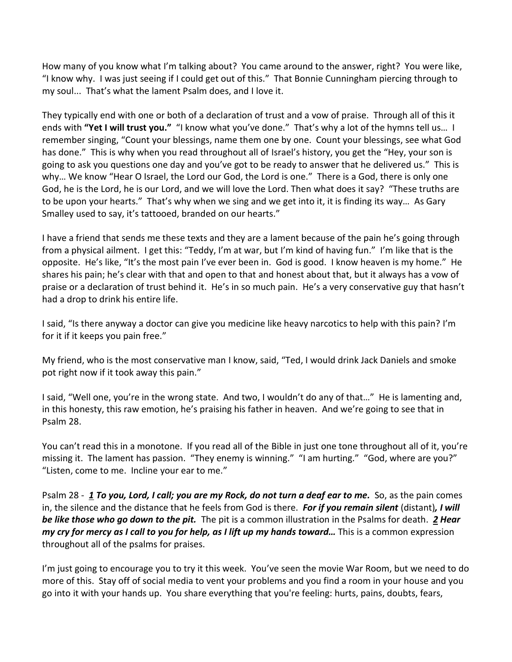How many of you know what I'm talking about? You came around to the answer, right? You were like, "I know why. I was just seeing if I could get out of this." That Bonnie Cunningham piercing through to my soul... That's what the lament Psalm does, and I love it.

They typically end with one or both of a declaration of trust and a vow of praise. Through all of this it ends with **"Yet I will trust you."** "I know what you've done." That's why a lot of the hymns tell us… I remember singing, "Count your blessings, name them one by one. Count your blessings, see what God has done." This is why when you read throughout all of Israel's history, you get the "Hey, your son is going to ask you questions one day and you've got to be ready to answer that he delivered us." This is why… We know "Hear O Israel, the Lord our God, the Lord is one." There is a God, there is only one God, he is the Lord, he is our Lord, and we will love the Lord. Then what does it say? "These truths are to be upon your hearts." That's why when we sing and we get into it, it is finding its way… As Gary Smalley used to say, it's tattooed, branded on our hearts."

I have a friend that sends me these texts and they are a lament because of the pain he's going through from a physical ailment. I get this: "Teddy, I'm at war, but I'm kind of having fun." I'm like that is the opposite. He's like, "It's the most pain I've ever been in. God is good. I know heaven is my home." He shares his pain; he's clear with that and open to that and honest about that, but it always has a vow of praise or a declaration of trust behind it. He's in so much pain. He's a very conservative guy that hasn't had a drop to drink his entire life.

I said, "Is there anyway a doctor can give you medicine like heavy narcotics to help with this pain? I'm for it if it keeps you pain free."

My friend, who is the most conservative man I know, said, "Ted, I would drink Jack Daniels and smoke pot right now if it took away this pain."

I said, "Well one, you're in the wrong state. And two, I wouldn't do any of that…" He is lamenting and, in this honesty, this raw emotion, he's praising his father in heaven. And we're going to see that in Psalm 28.

You can't read this in a monotone. If you read all of the Bible in just one tone throughout all of it, you're missing it. The lament has passion. "They enemy is winning." "I am hurting." "God, where are you?" "Listen, come to me. Incline your ear to me."

Psalm 28 - *[1](https://www.studylight.org/desk/?q=ps%2028:1&t1=en_niv&sr=1) To you, Lord, I call; you are my Rock, do not turn a deaf ear to me.* So, as the pain comes in, the silence and the distance that he feels from God is there. *For if you remain silent* (distant)*, I will be like those who go down to the pit.* The pit is a common illustration in the Psalms for death. *[2](https://www.studylight.org/desk/?q=ps%2028:2&t1=en_niv&sr=1) Hear my cry for mercy as I call to you for help, as I lift up my hands toward…* This is a common expression throughout all of the psalms for praises.

I'm just going to encourage you to try it this week. You've seen the movie War Room, but we need to do more of this. Stay off of social media to vent your problems and you find a room in your house and you go into it with your hands up. You share everything that you're feeling: hurts, pains, doubts, fears,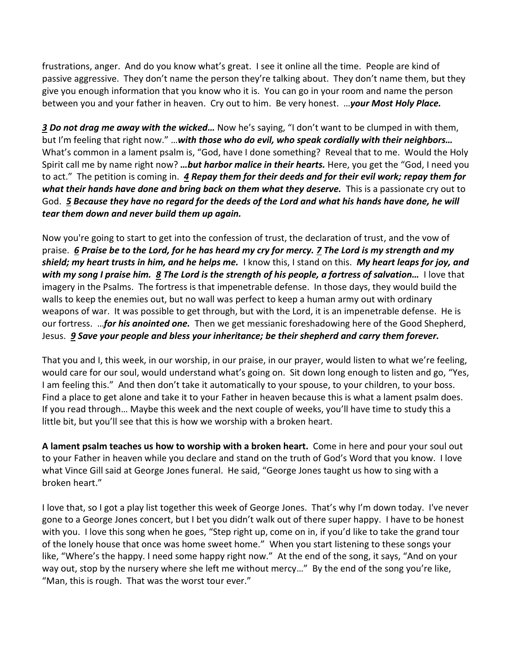frustrations, anger. And do you know what's great. I see it online all the time. People are kind of passive aggressive. They don't name the person they're talking about. They don't name them, but they give you enough information that you know who it is. You can go in your room and name the person between you and your father in heaven. Cry out to him. Be very honest. …*your Most Holy Place.* 

*[3](https://www.studylight.org/desk/?q=ps%2028:3&t1=en_niv&sr=1) Do not drag me away with the wicked…* Now he's saying, "I don't want to be clumped in with them, but I'm feeling that right now." …*with those who do evil, who speak cordially with their neighbors…* What's common in a lament psalm is, "God, have I done something? Reveal that to me. Would the Holy Spirit call me by name right now? *…but harbor malice in their hearts.* Here, you get the "God, I need you to act." The petition is coming in. *[4](https://www.studylight.org/desk/?q=ps%2028:4&t1=en_niv&sr=1) Repay them for their deeds and for their evil work; repay them for what their hands have done and bring back on them what they deserve.* This is a passionate cry out to God. *[5](https://www.studylight.org/desk/?q=ps%2028:5&t1=en_niv&sr=1) Because they have no regard for the deeds of the Lord and what his hands have done, he will tear them down and never build them up again.* 

Now you're going to start to get into the confession of trust, the declaration of trust, and the vow of praise. *[6](https://www.studylight.org/desk/?q=ps%2028:6&t1=en_niv&sr=1) Praise be to the Lord, for he has heard my cry for mercy. [7](https://www.studylight.org/desk/?q=ps%2028:7&t1=en_niv&sr=1) The Lord is my strength and my shield; my heart trusts in him, and he helps me.* I know this, I stand on this. *My heart leaps for joy, and with my song I praise him. [8](https://www.studylight.org/desk/?q=ps%2028:8&t1=en_niv&sr=1) The Lord is the strength of his people, a fortress of salvation…* I love that imagery in the Psalms. The fortress is that impenetrable defense. In those days, they would build the walls to keep the enemies out, but no wall was perfect to keep a human army out with ordinary weapons of war. It was possible to get through, but with the Lord, it is an impenetrable defense. He is our fortress. …*for his anointed one.* Then we get messianic foreshadowing here of the Good Shepherd, Jesus. *[9](https://www.studylight.org/desk/?q=ps%2028:9&t1=en_niv&sr=1) Save your people and bless your inheritance; be their shepherd and carry them forever.*

That you and I, this week, in our worship, in our praise, in our prayer, would listen to what we're feeling, would care for our soul, would understand what's going on. Sit down long enough to listen and go, "Yes, I am feeling this." And then don't take it automatically to your spouse, to your children, to your boss. Find a place to get alone and take it to your Father in heaven because this is what a lament psalm does. If you read through… Maybe this week and the next couple of weeks, you'll have time to study this a little bit, but you'll see that this is how we worship with a broken heart.

**A lament psalm teaches us how to worship with a broken heart.** Come in here and pour your soul out to your Father in heaven while you declare and stand on the truth of God's Word that you know. I love what Vince Gill said at George Jones funeral. He said, "George Jones taught us how to sing with a broken heart."

I love that, so I got a play list together this week of George Jones. That's why I'm down today. I've never gone to a George Jones concert, but I bet you didn't walk out of there super happy. I have to be honest with you. I love this song when he goes, "Step right up, come on in, if you'd like to take the grand tour of the lonely house that once was home sweet home." When you start listening to these songs your like, "Where's the happy. I need some happy right now." At the end of the song, it says, "And on your way out, stop by the nursery where she left me without mercy..." By the end of the song you're like, "Man, this is rough. That was the worst tour ever."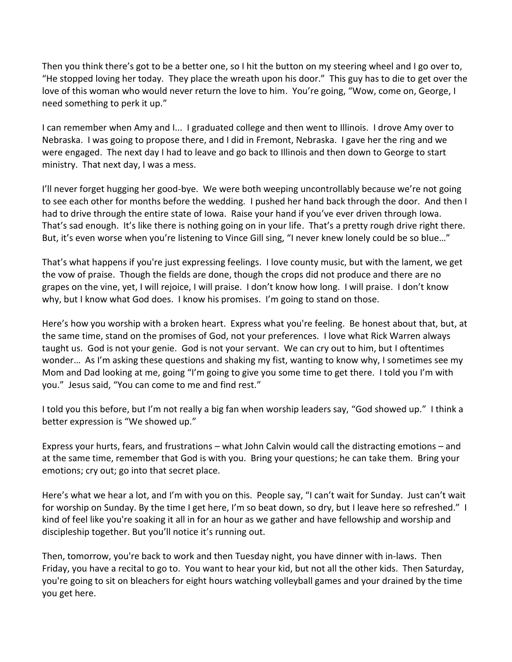Then you think there's got to be a better one, so I hit the button on my steering wheel and I go over to, "He stopped loving her today. They place the wreath upon his door." This guy has to die to get over the love of this woman who would never return the love to him. You're going, "Wow, come on, George, I need something to perk it up."

I can remember when Amy and I... I graduated college and then went to Illinois. I drove Amy over to Nebraska. I was going to propose there, and I did in Fremont, Nebraska. I gave her the ring and we were engaged. The next day I had to leave and go back to Illinois and then down to George to start ministry. That next day, I was a mess.

I'll never forget hugging her good-bye. We were both weeping uncontrollably because we're not going to see each other for months before the wedding. I pushed her hand back through the door. And then I had to drive through the entire state of Iowa. Raise your hand if you've ever driven through Iowa. That's sad enough. It's like there is nothing going on in your life. That's a pretty rough drive right there. But, it's even worse when you're listening to Vince Gill sing, "I never knew lonely could be so blue…"

That's what happens if you're just expressing feelings. I love county music, but with the lament, we get the vow of praise. Though the fields are done, though the crops did not produce and there are no grapes on the vine, yet, I will rejoice, I will praise. I don't know how long. I will praise. I don't know why, but I know what God does. I know his promises. I'm going to stand on those.

Here's how you worship with a broken heart. Express what you're feeling. Be honest about that, but, at the same time, stand on the promises of God, not your preferences. I love what Rick Warren always taught us. God is not your genie. God is not your servant. We can cry out to him, but I oftentimes wonder… As I'm asking these questions and shaking my fist, wanting to know why, I sometimes see my Mom and Dad looking at me, going "I'm going to give you some time to get there. I told you I'm with you." Jesus said, "You can come to me and find rest."

I told you this before, but I'm not really a big fan when worship leaders say, "God showed up." I think a better expression is "We showed up."

Express your hurts, fears, and frustrations – what John Calvin would call the distracting emotions – and at the same time, remember that God is with you. Bring your questions; he can take them. Bring your emotions; cry out; go into that secret place.

Here's what we hear a lot, and I'm with you on this. People say, "I can't wait for Sunday. Just can't wait for worship on Sunday. By the time I get here, I'm so beat down, so dry, but I leave here so refreshed." I kind of feel like you're soaking it all in for an hour as we gather and have fellowship and worship and discipleship together. But you'll notice it's running out.

Then, tomorrow, you're back to work and then Tuesday night, you have dinner with in-laws. Then Friday, you have a recital to go to. You want to hear your kid, but not all the other kids. Then Saturday, you're going to sit on bleachers for eight hours watching volleyball games and your drained by the time you get here.